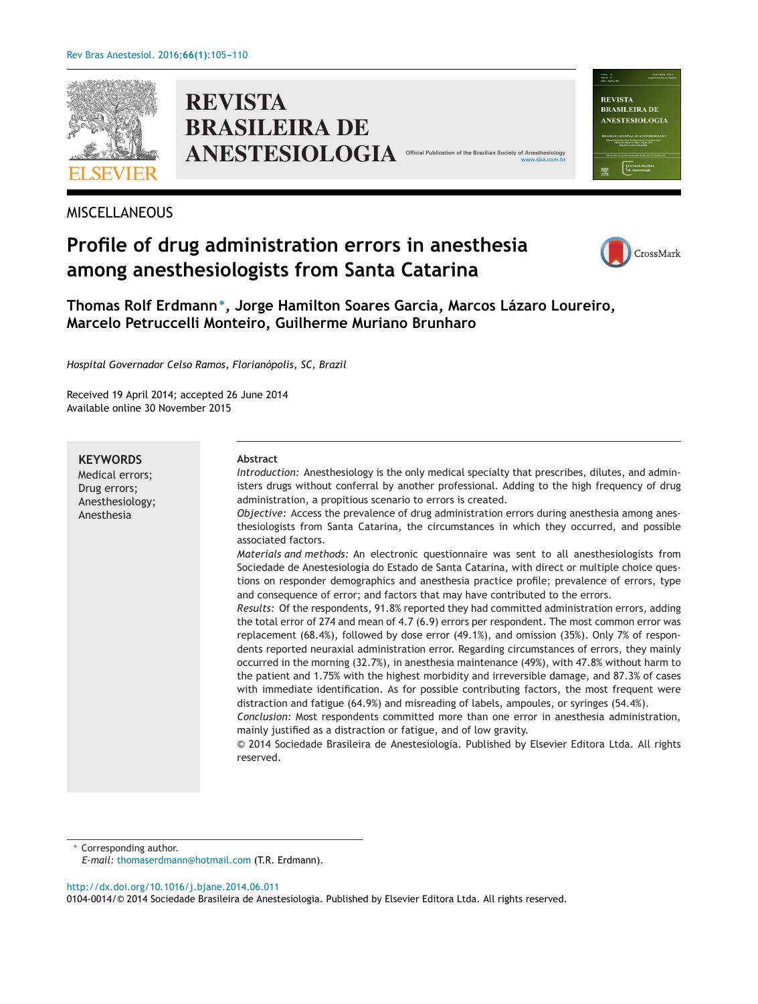

**REVISTA BRASILEIRA DE ANESTESIOLOGIA** 

# MISCELLANEOUS

# **Profile of drug administration errors in anesthesia among anesthesiologists from Santa Catarina**



Valume 43<br>Nimers 4 **REVISTA BRASILEIRA DE** ANESTESIOLOGIA

[www.sba.com.br](http://www.sba.com.br)

**Thomas Rolf Erdmann∗, Jorge Hamilton Soares Garcia, Marcos Lázaro Loureiro, Marcelo Petruccelli Monteiro, Guilherme Muriano Brunharo**

*Hospital Governador Celso Ramos, Florianópolis, SC, Brazil*

Received 19 April 2014; accepted 26 June 2014 Available online 30 November 2015

**KEYWORDS** Medical errors; Drug errors; Anesthesiology; Anesthesia **Abstract** *Introduction:* Anesthesiology is the only medical specialty that prescribes, dilutes, and administers drugs without conferral by another professional. Adding to the high frequency of drug administration, a propitious scenario to errors is created. *Objective:* Access the prevalence of drug administration errors during anesthesia among anesthesiologists from Santa Catarina, the circumstances in which they occurred, and possible associated factors. *Materials and methods:* An electronic questionnaire was sent to all anesthesiologists from Sociedade de Anestesiologia do Estado de Santa Catarina, with direct or multiple choice questions on responder demographics and anesthesia practice profile; prevalence of errors, type and consequence of error; and factors that may have contributed to the errors. *Results:* Of the respondents, 91.8% reported they had committed administration errors, adding the total error of 274 and mean of 4.7 (6.9) errors per respondent. The most common error was replacement (68.4%), followed by dose error (49.1%), and omission (35%). Only 7% of respondents reported neuraxial administration error. Regarding circumstances of errors, they mainly occurred in the morning (32.7%), in anesthesia maintenance (49%), with 47.8% without harm to the patient and 1.75% with the highest morbidity and irreversible damage, and 87.3% of cases with immediate identification. As for possible contributing factors, the most frequent were distraction and fatigue (64.9%) and misreading of labels, ampoules, or syringes (54.4%). *Conclusion:* Most respondents committed more than one error in anesthesia administration, mainly justified as a distraction or fatigue, and of low gravity. © 2014 Sociedade Brasileira de Anestesiologia. Published by Elsevier Editora Ltda. All rights reserved.

Corresponding author.

*E-mail:* [thomaserdmann@hotmail.com](mailto:thomaserdmann@hotmail.com) (T.R. Erdmann).

[http://dx.doi.org/10.1016/j.bjane.2014.06.011](dx.doi.org/10.1016/j.bjane.2014.06.011)

0104-0014/© 2014 Sociedade Brasileira de Anestesiologia. Published by Elsevier Editora Ltda. All rights reserved.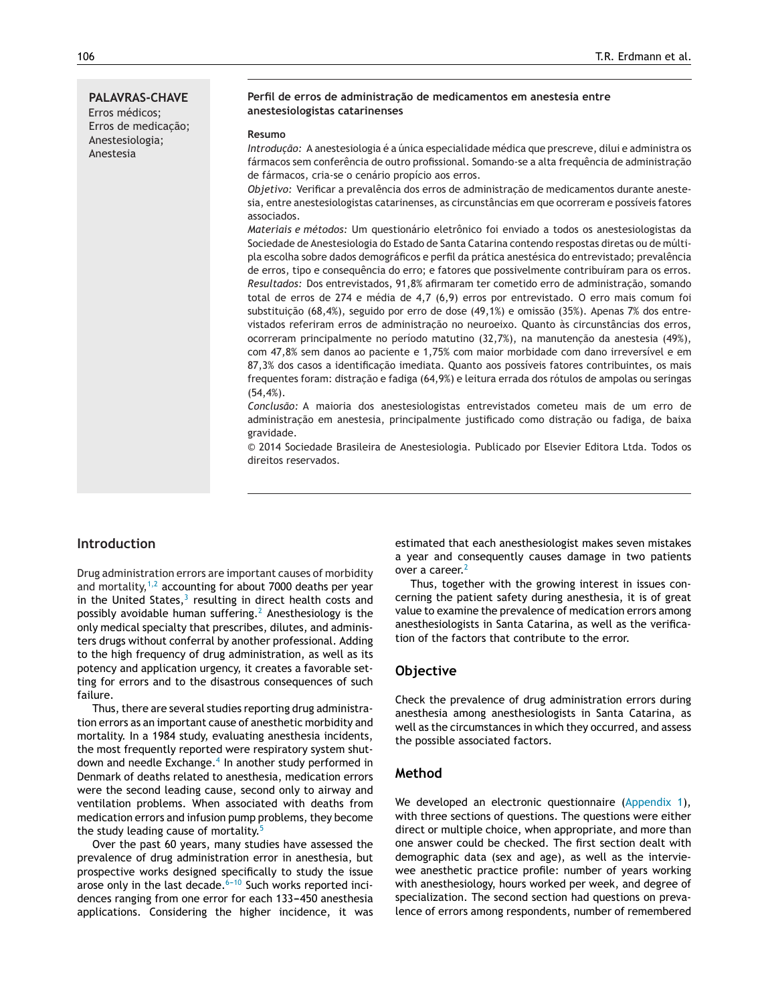Anestesia

#### **Perfil de erros de administrac¸ão de medicamentos em anestesia entre anestesiologistas catarinenses**

#### **Resumo**

*Introduc¸ão:* A anestesiologia é a única especialidade médica que prescreve, dilui e administra os fármacos sem conferência de outro profissional. Somando-se a alta frequência de administração de fármacos, cria-se o cenário propício aos erros.

*Objetivo:* Verificar a prevalência dos erros de administração de medicamentos durante anestesia, entre anestesiologistas catarinenses, as circunstâncias em que ocorreram e possíveis fatores associados.

*Materiais e métodos:* Um questionário eletrônico foi enviado a todos os anestesiologistas da Sociedade de Anestesiologia do Estado de Santa Catarina contendo respostas diretas ou de múltipla escolha sobre dados demográficos e perfil da prática anestésica do entrevistado; prevalência de erros, tipo e consequência do erro; e fatores que possivelmente contribuíram para os erros. Resultados: Dos entrevistados, 91,8% afirmaram ter cometido erro de administração, somando total de erros de 274 e média de 4,7 (6,9) erros por entrevistado. O erro mais comum foi substituição (68,4%), seguido por erro de dose (49,1%) e omissão (35%). Apenas 7% dos entrevistados referiram erros de administração no neuroeixo. Quanto às circunstâncias dos erros, ocorreram principalmente no período matutino (32,7%), na manutenção da anestesia (49%), com 47,8% sem danos ao paciente e 1,75% com maior morbidade com dano irreversível e em 87,3% dos casos a identificação imediata. Quanto aos possíveis fatores contribuintes, os mais frequentes foram: distração e fadiga (64,9%) e leitura errada dos rótulos de ampolas ou seringas  $(54, 4\%)$ .

*Conclusão:* A maioria dos anestesiologistas entrevistados cometeu mais de um erro de administração em anestesia, principalmente justificado como distração ou fadiga, de baixa gravidade.

© 2014 Sociedade Brasileira de Anestesiologia. Publicado por Elsevier Editora Ltda. Todos os direitos reservados.

# **Introduction**

Drug administration errors are important causes of morbidity and mortality, $1/2$  accounting for about 7000 deaths per year in the United States, $3$  resulting in direct health costs and possibly avoidable human suffering.<sup>[2](#page-4-0)</sup> Anesthesiology is the only medical specialty that prescribes, dilutes, and administers drugs without conferral by another professional. Adding to the high frequency of drug administration, as well as its potency and application urgency, it creates a favorable setting for errors and to the disastrous consequences of such failure.

Thus, there are several studies reporting drug administration errors as an important cause of anesthetic morbidity and mortality. In a 1984 study, evaluating anesthesia incidents, the most frequently reported were respiratory system shut-down and needle Exchange.<sup>4</sup> [In](#page-4-0) another study performed in Denmark of deaths related to anesthesia, medication errors were the second leading cause, second only to airway and ventilation problems. When associated with deaths from medication errors and infusion pump problems, they become the study leading cause of mortality.<sup>[5](#page-4-0)</sup>

Over the past 60 years, many studies have assessed the prevalence of drug administration error in anesthesia, but prospective works designed specifically to study the issue arose only in the last decade. $6-10$  Such works reported incidences ranging from one error for each 133-450 anesthesia applications. Considering the higher incidence, it was estimated that each anesthesiologist makes seven mistakes a year and consequently causes damage in two patients over a career.<sup>[2](#page-4-0)</sup>

Thus, together with the growing interest in issues concerning the patient safety during anesthesia, it is of great value to examine the prevalence of medication errors among anesthesiologists in Santa Catarina, as well as the verification of the factors that contribute to the error.

#### **Objective**

Check the prevalence of drug administration errors during anesthesia among anesthesiologists in Santa Catarina, as well as the circumstances in which they occurred, and assess the possible associated factors.

#### **Method**

We developed an electronic questionnaire ([Appendix](#page-4-0) [1\),](#page-4-0) with three sections of questions. The questions were either direct or multiple choice, when appropriate, and more than one answer could be checked. The first section dealt with demographic data (sex and age), as well as the interviewee anesthetic practice profile: number of years working with anesthesiology, hours worked per week, and degree of specialization. The second section had questions on prevalence of errors among respondents, number of remembered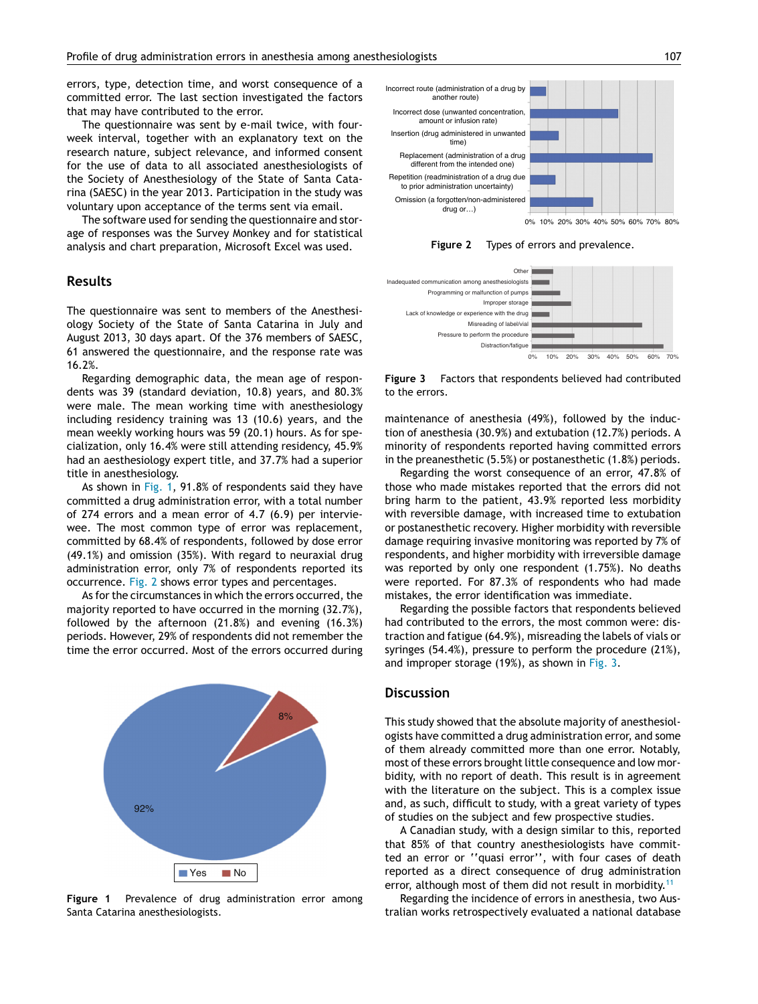errors, type, detection time, and worst consequence of a committed error. The last section investigated the factors that may have contributed to the error.

The questionnaire was sent by e-mail twice, with fourweek interval, together with an explanatory text on the research nature, subject relevance, and informed consent for the use of data to all associated anesthesiologists of the Society of Anesthesiology of the State of Santa Catarina (SAESC) in the year 2013. Participation in the study was voluntary upon acceptance of the terms sent via email.

The software used for sending the questionnaire and storage of responses was the Survey Monkey and for statistical analysis and chart preparation, Microsoft Excel was used.

#### **Results**

The questionnaire was sent to members of the Anesthesiology Society of the State of Santa Catarina in July and August 2013, 30 days apart. Of the 376 members of SAESC, 61 answered the questionnaire, and the response rate was 16.2%.

Regarding demographic data, the mean age of respondents was 39 (standard deviation, 10.8) years, and 80.3% were male. The mean working time with anesthesiology including residency training was 13 (10.6) years, and the mean weekly working hours was 59 (20.1) hours. As for specialization, only 16.4% were still attending residency, 45.9% had an aesthesiology expert title, and 37.7% had a superior title in anesthesiology.

As shown in Fig. 1, 91.8% of respondents said they have committed a drug administration error, with a total number of 274 errors and a mean error of 4.7 (6.9) per interviewee. The most common type of error was replacement, committed by 68.4% of respondents, followed by dose error (49.1%) and omission (35%). With regard to neuraxial drug administration error, only 7% of respondents reported its occurrence. Fig. 2 shows error types and percentages.

As for the circumstances in which the errors occurred, the majority reported to have occurred in the morning (32.7%), followed by the afternoon (21.8%) and evening (16.3%) periods. However, 29% of respondents did not remember the time the error occurred. Most of the errors occurred during



**Figure 1** Prevalence of drug administration error among Santa Catarina anesthesiologists.



**Figure 2** Types of errors and prevalence.



**Figure 3** Factors that respondents believed had contributed to the errors.

maintenance of anesthesia (49%), followed by the induction of anesthesia (30.9%) and extubation (12.7%) periods. A minority of respondents reported having committed errors in the preanesthetic (5.5%) or postanesthetic (1.8%) periods.

Regarding the worst consequence of an error, 47.8% of those who made mistakes reported that the errors did not bring harm to the patient, 43.9% reported less morbidity with reversible damage, with increased time to extubation or postanesthetic recovery. Higher morbidity with reversible damage requiring invasive monitoring was reported by 7% of respondents, and higher morbidity with irreversible damage was reported by only one respondent (1.75%). No deaths were reported. For 87.3% of respondents who had made mistakes, the error identification was immediate.

Regarding the possible factors that respondents believed had contributed to the errors, the most common were: distraction and fatigue (64.9%), misreading the labels of vials or syringes (54.4%), pressure to perform the procedure (21%), and improper storage (19%), as shown in Fig. 3.

### **Discussion**

This study showed that the absolute majority of anesthesiologists have committed a drug administration error, and some of them already committed more than one error. Notably, most of these errors brought little consequence and low morbidity, with no report of death. This result is in agreement with the literature on the subject. This is a complex issue and, as such, difficult to study, with a great variety of types of studies on the subject and few prospective studies.

A Canadian study, with a design similar to this, reported that 85% of that country anesthesiologists have committed an error or ''quasi error'', with four cases of death reported as a direct consequence of drug administration error, although most of them did not result in morbidity.<sup>[11](#page-4-0)</sup>

Regarding the incidence of errors in anesthesia, two Australian works retrospectively evaluated a national database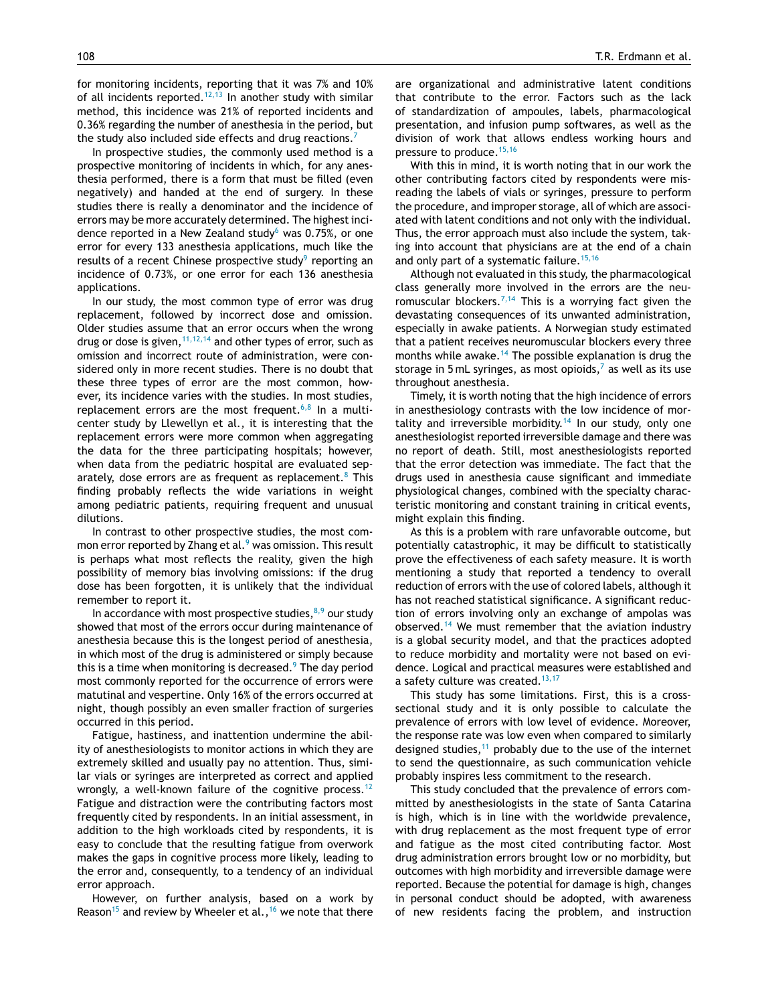for monitoring incidents, reporting that it was 7% and 10% of all incidents reported.<sup>[12,13](#page-4-0)</sup> In another study with similar method, this incidence was 21% of reported incidents and 0.36% regarding the number of anesthesia in the period, but the study also included side effects and drug reactions.<sup>[7](#page-4-0)</sup>

In prospective studies, the commonly used method is a prospective monitoring of incidents in which, for any anesthesia performed, there is a form that must be filled (even negatively) and handed at the end of surgery. In these studies there is really a denominator and the incidence of errors may be more accurately determined. The highest inci-dence reported in a New Zealand study<sup>[6](#page-4-0)</sup> was 0.75%, or one error for every 133 anesthesia applications, much like the results of a recent Chinese prospective study $9$  reporting an incidence of 0.73%, or one error for each 136 anesthesia applications.

In our study, the most common type of error was drug replacement, followed by incorrect dose and omission. Older studies assume that an error occurs when the wrong drug or dose is given,  $11,12,14$  and other types of error, such as omission and incorrect route of administration, were considered only in more recent studies. There is no doubt that these three types of error are the most common, however, its incidence varies with the studies. In most studies, replacement errors are the most frequent.<sup>[6,8](#page-4-0)</sup> In a multicenter study by Llewellyn et al., it is interesting that the replacement errors were more common when aggregating the data for the three participating hospitals; however, when data from the pediatric hospital are evaluated separately, dose errors are as frequent as replacement. $8$  This finding probably reflects the wide variations in weight among pediatric patients, requiring frequent and unusual dilutions.

In contrast to other prospective studies, the most common error reported by Zhang et al.<sup>9</sup> [w](#page-4-0)as omission. This result is perhaps what most reflects the reality, given the high possibility of memory bias involving omissions: if the drug dose has been forgotten, it is unlikely that the individual remember to report it.

In accordance with most prospective studies, $8,9$  our study showed that most of the errors occur during maintenance of anesthesia because this is the longest period of anesthesia, in which most of the drug is administered or simply because this is a time when monitoring is decreased. $9$  [T](#page-4-0)he day period most commonly reported for the occurrence of errors were matutinal and vespertine. Only 16% of the errors occurred at night, though possibly an even smaller fraction of surgeries occurred in this period.

Fatigue, hastiness, and inattention undermine the ability of anesthesiologists to monitor actions in which they are extremely skilled and usually pay no attention. Thus, similar vials or syringes are interpreted as correct and applied wrongly, a well-known failure of the cognitive process.<sup>[12](#page-4-0)</sup> Fatigue and distraction were the contributing factors most frequently cited by respondents. In an initial assessment, in addition to the high workloads cited by respondents, it is easy to conclude that the resulting fatigue from overwork makes the gaps in cognitive process more likely, leading to the error and, consequently, to a tendency of an individual error approach.

However, on further analysis, based on a work by Reason<sup>[15](#page-5-0)</sup> and review by Wheeler et al., <sup>[16](#page-5-0)</sup> we note that there are organizational and administrative latent conditions that contribute to the error. Factors such as the lack of standardization of ampoules, labels, pharmacological presentation, and infusion pump softwares, as well as the division of work that allows endless working hours and pressure to produce.<sup>[15,16](#page-5-0)</sup>

With this in mind, it is worth noting that in our work the other contributing factors cited by respondents were misreading the labels of vials or syringes, pressure to perform the procedure, and improper storage, all of which are associated with latent conditions and not only with the individual. Thus, the error approach must also include the system, taking into account that physicians are at the end of a chain and only part of a systematic failure.<sup>[15,16](#page-5-0)</sup>

Although not evaluated in this study, the pharmacological class generally more involved in the errors are the neu-romuscular blockers.<sup>[7,14](#page-4-0)</sup> This is a worrying fact given the devastating consequences of its unwanted administration, especially in awake patients. A Norwegian study estimated that a patient receives neuromuscular blockers every three months while awake.<sup>[14](#page-5-0)</sup> The possible explanation is drug the storage in 5 mL syringes, as most opioids, $<sup>7</sup>$  $<sup>7</sup>$  $<sup>7</sup>$  as well as its use</sup> throughout anesthesia.

Timely, it is worth noting that the high incidence of errors in anesthesiology contrasts with the low incidence of mor-tality and irreversible morbidity.<sup>[14](#page-5-0)</sup> In our study, only one anesthesiologist reported irreversible damage and there was no report of death. Still, most anesthesiologists reported that the error detection was immediate. The fact that the drugs used in anesthesia cause significant and immediate physiological changes, combined with the specialty characteristic monitoring and constant training in critical events, might explain this finding.

As this is a problem with rare unfavorable outcome, but potentially catastrophic, it may be difficult to statistically prove the effectiveness of each safety measure. It is worth mentioning a study that reported a tendency to overall reduction of errors with the use of colored labels, although it has not reached statistical significance. A significant reduction of errors involving only an exchange of ampolas was observed.<sup>[14](#page-5-0)</sup> We must remember that the aviation industry is a global security model, and that the practices adopted to reduce morbidity and mortality were not based on evidence. Logical and practical measures were established and a safety culture was created.<sup>[13,17](#page-4-0)</sup>

This study has some limitations. First, this is a crosssectional study and it is only possible to calculate the prevalence of errors with low level of evidence. Moreover, the response rate was low even when compared to similarly designed studies, $11$  probably due to the use of the internet to send the questionnaire, as such communication vehicle probably inspires less commitment to the research.

This study concluded that the prevalence of errors committed by anesthesiologists in the state of Santa Catarina is high, which is in line with the worldwide prevalence, with drug replacement as the most frequent type of error and fatigue as the most cited contributing factor. Most drug administration errors brought low or no morbidity, but outcomes with high morbidity and irreversible damage were reported. Because the potential for damage is high, changes in personal conduct should be adopted, with awareness of new residents facing the problem, and instruction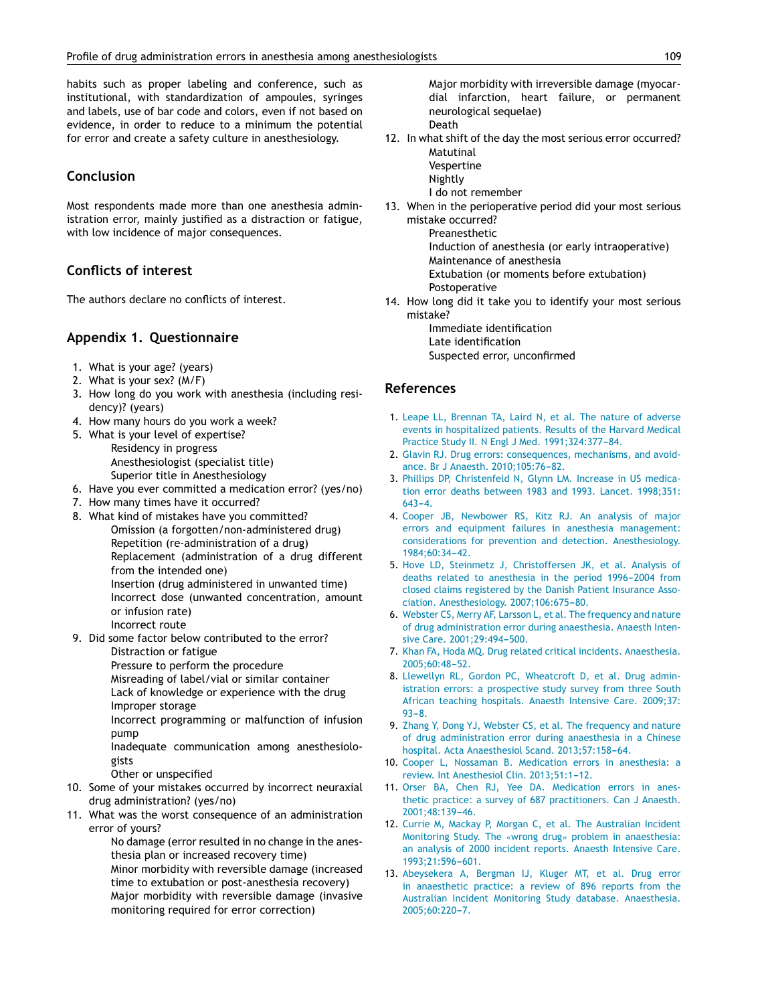<span id="page-4-0"></span>habits such as proper labeling and conference, such as institutional, with standardization of ampoules, syringes and labels, use of bar code and colors, even if not based on evidence, in order to reduce to a minimum the potential for error and create a safety culture in anesthesiology.

# **Conclusion**

Most respondents made more than one anesthesia administration error, mainly justified as a distraction or fatigue, with low incidence of major consequences.

# **Conflicts of interest**

The authors declare no conflicts of interest.

#### **Appendix 1. Questionnaire**

- 1. What is your age? (years)
- 2. What is your sex? (M/F)
- 3. How long do you work with anesthesia (including residency)? (years)
- 4. How many hours do you work a week?
- 5. What is your level of expertise? Residency in progress Anesthesiologist (specialist title) Superior title in Anesthesiology
- 6. Have you ever committed a medication error? (yes/no)
- 7. How many times have it occurred?
- 8. What kind of mistakes have you committed? Omission (a forgotten/non-administered drug) Repetition (re-administration of a drug) Replacement (administration of a drug different from the intended one) Insertion (drug administered in unwanted time) Incorrect dose (unwanted concentration, amount or infusion rate) Incorrect route
- 9. Did some factor below contributed to the error? Distraction or fatigue Pressure to perform the procedure

Misreading of label/vial or similar container Lack of knowledge or experience with the drug Improper storage

Incorrect programming or malfunction of infusion pump

Inadequate communication among anesthesiologists

Other or unspecified

- 10. Some of your mistakes occurred by incorrect neuraxial drug administration? (yes/no)
- 11. What was the worst consequence of an administration error of yours?

No damage (error resulted in no change in the anesthesia plan or increased recovery time) Minor morbidity with reversible damage (increased time to extubation or post-anesthesia recovery) Major morbidity with reversible damage (invasive monitoring required for error correction)

Major morbidity with irreversible damage (myocardial infarction, heart failure, or permanent neurological sequelae) Death

- 12. In what shift of the day the most serious error occurred? Matutinal
	- Vespertine
		- Nightly
		- I do not remember
- 13. When in the perioperative period did your most serious mistake occurred?

Preanesthetic Induction of anesthesia (or early intraoperative)

Maintenance of anesthesia

Extubation (or moments before extubation)

- Postoperative
- 14. How long did it take you to identify your most serious mistake?
	- Immediate identification Late identification Suspected error, unconfirmed

#### **References**

- 1. [Leape](http://refhub.elsevier.com/S0104-0014(14)00227-9/sbref0090) [LL,](http://refhub.elsevier.com/S0104-0014(14)00227-9/sbref0090) [Brennan](http://refhub.elsevier.com/S0104-0014(14)00227-9/sbref0090) [TA,](http://refhub.elsevier.com/S0104-0014(14)00227-9/sbref0090) [Laird](http://refhub.elsevier.com/S0104-0014(14)00227-9/sbref0090) [N,](http://refhub.elsevier.com/S0104-0014(14)00227-9/sbref0090) [et](http://refhub.elsevier.com/S0104-0014(14)00227-9/sbref0090) [al.](http://refhub.elsevier.com/S0104-0014(14)00227-9/sbref0090) [The](http://refhub.elsevier.com/S0104-0014(14)00227-9/sbref0090) [nature](http://refhub.elsevier.com/S0104-0014(14)00227-9/sbref0090) [of](http://refhub.elsevier.com/S0104-0014(14)00227-9/sbref0090) [adverse](http://refhub.elsevier.com/S0104-0014(14)00227-9/sbref0090) [events](http://refhub.elsevier.com/S0104-0014(14)00227-9/sbref0090) [in](http://refhub.elsevier.com/S0104-0014(14)00227-9/sbref0090) [hospitalized](http://refhub.elsevier.com/S0104-0014(14)00227-9/sbref0090) [patients.](http://refhub.elsevier.com/S0104-0014(14)00227-9/sbref0090) [Results](http://refhub.elsevier.com/S0104-0014(14)00227-9/sbref0090) [of](http://refhub.elsevier.com/S0104-0014(14)00227-9/sbref0090) [the](http://refhub.elsevier.com/S0104-0014(14)00227-9/sbref0090) [Harvard](http://refhub.elsevier.com/S0104-0014(14)00227-9/sbref0090) [Medical](http://refhub.elsevier.com/S0104-0014(14)00227-9/sbref0090) [Practice](http://refhub.elsevier.com/S0104-0014(14)00227-9/sbref0090) [Study](http://refhub.elsevier.com/S0104-0014(14)00227-9/sbref0090) [II.](http://refhub.elsevier.com/S0104-0014(14)00227-9/sbref0090) [N](http://refhub.elsevier.com/S0104-0014(14)00227-9/sbref0090) [Engl](http://refhub.elsevier.com/S0104-0014(14)00227-9/sbref0090) [J](http://refhub.elsevier.com/S0104-0014(14)00227-9/sbref0090) [Med.](http://refhub.elsevier.com/S0104-0014(14)00227-9/sbref0090) [1991;324:377](http://refhub.elsevier.com/S0104-0014(14)00227-9/sbref0090)-[84.](http://refhub.elsevier.com/S0104-0014(14)00227-9/sbref0090)
- 2. [Glavin](http://refhub.elsevier.com/S0104-0014(14)00227-9/sbref0095) [RJ.](http://refhub.elsevier.com/S0104-0014(14)00227-9/sbref0095) [Drug](http://refhub.elsevier.com/S0104-0014(14)00227-9/sbref0095) [errors:](http://refhub.elsevier.com/S0104-0014(14)00227-9/sbref0095) [consequences,](http://refhub.elsevier.com/S0104-0014(14)00227-9/sbref0095) [mechanisms,](http://refhub.elsevier.com/S0104-0014(14)00227-9/sbref0095) [and](http://refhub.elsevier.com/S0104-0014(14)00227-9/sbref0095) [avoid](http://refhub.elsevier.com/S0104-0014(14)00227-9/sbref0095)[ance.](http://refhub.elsevier.com/S0104-0014(14)00227-9/sbref0095) [Br](http://refhub.elsevier.com/S0104-0014(14)00227-9/sbref0095) [J](http://refhub.elsevier.com/S0104-0014(14)00227-9/sbref0095) [Anaesth.](http://refhub.elsevier.com/S0104-0014(14)00227-9/sbref0095) 2010:105:76[-82.](http://refhub.elsevier.com/S0104-0014(14)00227-9/sbref0095)
- 3. [Phillips](http://refhub.elsevier.com/S0104-0014(14)00227-9/sbref0100) [DP,](http://refhub.elsevier.com/S0104-0014(14)00227-9/sbref0100) [Christenfeld](http://refhub.elsevier.com/S0104-0014(14)00227-9/sbref0100) [N,](http://refhub.elsevier.com/S0104-0014(14)00227-9/sbref0100) [Glynn](http://refhub.elsevier.com/S0104-0014(14)00227-9/sbref0100) [LM.](http://refhub.elsevier.com/S0104-0014(14)00227-9/sbref0100) [Increase](http://refhub.elsevier.com/S0104-0014(14)00227-9/sbref0100) [in](http://refhub.elsevier.com/S0104-0014(14)00227-9/sbref0100) [US](http://refhub.elsevier.com/S0104-0014(14)00227-9/sbref0100) [medica](http://refhub.elsevier.com/S0104-0014(14)00227-9/sbref0100)[tion](http://refhub.elsevier.com/S0104-0014(14)00227-9/sbref0100) [error](http://refhub.elsevier.com/S0104-0014(14)00227-9/sbref0100) [deaths](http://refhub.elsevier.com/S0104-0014(14)00227-9/sbref0100) [between](http://refhub.elsevier.com/S0104-0014(14)00227-9/sbref0100) [1983](http://refhub.elsevier.com/S0104-0014(14)00227-9/sbref0100) [and](http://refhub.elsevier.com/S0104-0014(14)00227-9/sbref0100) [1993.](http://refhub.elsevier.com/S0104-0014(14)00227-9/sbref0100) [Lancet.](http://refhub.elsevier.com/S0104-0014(14)00227-9/sbref0100) [1998;351:](http://refhub.elsevier.com/S0104-0014(14)00227-9/sbref0100)  $643 - 4$  $643 - 4$
- 4. [Cooper](http://refhub.elsevier.com/S0104-0014(14)00227-9/sbref0105) [JB,](http://refhub.elsevier.com/S0104-0014(14)00227-9/sbref0105) [Newbower](http://refhub.elsevier.com/S0104-0014(14)00227-9/sbref0105) [RS,](http://refhub.elsevier.com/S0104-0014(14)00227-9/sbref0105) [Kitz](http://refhub.elsevier.com/S0104-0014(14)00227-9/sbref0105) [RJ.](http://refhub.elsevier.com/S0104-0014(14)00227-9/sbref0105) [An](http://refhub.elsevier.com/S0104-0014(14)00227-9/sbref0105) [analysis](http://refhub.elsevier.com/S0104-0014(14)00227-9/sbref0105) [of](http://refhub.elsevier.com/S0104-0014(14)00227-9/sbref0105) [major](http://refhub.elsevier.com/S0104-0014(14)00227-9/sbref0105) [errors](http://refhub.elsevier.com/S0104-0014(14)00227-9/sbref0105) [and](http://refhub.elsevier.com/S0104-0014(14)00227-9/sbref0105) [equipment](http://refhub.elsevier.com/S0104-0014(14)00227-9/sbref0105) [failures](http://refhub.elsevier.com/S0104-0014(14)00227-9/sbref0105) [in](http://refhub.elsevier.com/S0104-0014(14)00227-9/sbref0105) [anesthesia](http://refhub.elsevier.com/S0104-0014(14)00227-9/sbref0105) [management:](http://refhub.elsevier.com/S0104-0014(14)00227-9/sbref0105) [considerations](http://refhub.elsevier.com/S0104-0014(14)00227-9/sbref0105) [for](http://refhub.elsevier.com/S0104-0014(14)00227-9/sbref0105) [prevention](http://refhub.elsevier.com/S0104-0014(14)00227-9/sbref0105) [and](http://refhub.elsevier.com/S0104-0014(14)00227-9/sbref0105) [detection.](http://refhub.elsevier.com/S0104-0014(14)00227-9/sbref0105) [Anesthesiology.](http://refhub.elsevier.com/S0104-0014(14)00227-9/sbref0105) 1984;60:34-42.
- 5. [Hove](http://refhub.elsevier.com/S0104-0014(14)00227-9/sbref0110) [LD,](http://refhub.elsevier.com/S0104-0014(14)00227-9/sbref0110) [Steinmetz](http://refhub.elsevier.com/S0104-0014(14)00227-9/sbref0110) [J,](http://refhub.elsevier.com/S0104-0014(14)00227-9/sbref0110) [Christoffersen](http://refhub.elsevier.com/S0104-0014(14)00227-9/sbref0110) [JK,](http://refhub.elsevier.com/S0104-0014(14)00227-9/sbref0110) [et](http://refhub.elsevier.com/S0104-0014(14)00227-9/sbref0110) [al.](http://refhub.elsevier.com/S0104-0014(14)00227-9/sbref0110) [Analysis](http://refhub.elsevier.com/S0104-0014(14)00227-9/sbref0110) [of](http://refhub.elsevier.com/S0104-0014(14)00227-9/sbref0110) [deaths](http://refhub.elsevier.com/S0104-0014(14)00227-9/sbref0110) [related](http://refhub.elsevier.com/S0104-0014(14)00227-9/sbref0110) [to](http://refhub.elsevier.com/S0104-0014(14)00227-9/sbref0110) [anesthesia](http://refhub.elsevier.com/S0104-0014(14)00227-9/sbref0110) [in](http://refhub.elsevier.com/S0104-0014(14)00227-9/sbref0110) [the](http://refhub.elsevier.com/S0104-0014(14)00227-9/sbref0110) [period](http://refhub.elsevier.com/S0104-0014(14)00227-9/sbref0110) 1996-2004 [from](http://refhub.elsevier.com/S0104-0014(14)00227-9/sbref0110) [closed](http://refhub.elsevier.com/S0104-0014(14)00227-9/sbref0110) [claims](http://refhub.elsevier.com/S0104-0014(14)00227-9/sbref0110) [registered](http://refhub.elsevier.com/S0104-0014(14)00227-9/sbref0110) [by](http://refhub.elsevier.com/S0104-0014(14)00227-9/sbref0110) [the](http://refhub.elsevier.com/S0104-0014(14)00227-9/sbref0110) [Danish](http://refhub.elsevier.com/S0104-0014(14)00227-9/sbref0110) [Patient](http://refhub.elsevier.com/S0104-0014(14)00227-9/sbref0110) [Insurance](http://refhub.elsevier.com/S0104-0014(14)00227-9/sbref0110) [Asso](http://refhub.elsevier.com/S0104-0014(14)00227-9/sbref0110)[ciation.](http://refhub.elsevier.com/S0104-0014(14)00227-9/sbref0110) [Anesthesiology.](http://refhub.elsevier.com/S0104-0014(14)00227-9/sbref0110) 2007;106:675-80.
- 6. [Webster](http://refhub.elsevier.com/S0104-0014(14)00227-9/sbref0115) [CS,](http://refhub.elsevier.com/S0104-0014(14)00227-9/sbref0115) [Merry](http://refhub.elsevier.com/S0104-0014(14)00227-9/sbref0115) [AF,](http://refhub.elsevier.com/S0104-0014(14)00227-9/sbref0115) [Larsson](http://refhub.elsevier.com/S0104-0014(14)00227-9/sbref0115) [L,](http://refhub.elsevier.com/S0104-0014(14)00227-9/sbref0115) [et](http://refhub.elsevier.com/S0104-0014(14)00227-9/sbref0115) [al.](http://refhub.elsevier.com/S0104-0014(14)00227-9/sbref0115) [The](http://refhub.elsevier.com/S0104-0014(14)00227-9/sbref0115) [frequency](http://refhub.elsevier.com/S0104-0014(14)00227-9/sbref0115) [and](http://refhub.elsevier.com/S0104-0014(14)00227-9/sbref0115) [nature](http://refhub.elsevier.com/S0104-0014(14)00227-9/sbref0115) [of](http://refhub.elsevier.com/S0104-0014(14)00227-9/sbref0115) [drug](http://refhub.elsevier.com/S0104-0014(14)00227-9/sbref0115) [administration](http://refhub.elsevier.com/S0104-0014(14)00227-9/sbref0115) [error](http://refhub.elsevier.com/S0104-0014(14)00227-9/sbref0115) [during](http://refhub.elsevier.com/S0104-0014(14)00227-9/sbref0115) [anaesthesia.](http://refhub.elsevier.com/S0104-0014(14)00227-9/sbref0115) [Anaesth](http://refhub.elsevier.com/S0104-0014(14)00227-9/sbref0115) [Inten](http://refhub.elsevier.com/S0104-0014(14)00227-9/sbref0115)[sive](http://refhub.elsevier.com/S0104-0014(14)00227-9/sbref0115) [Care.](http://refhub.elsevier.com/S0104-0014(14)00227-9/sbref0115) 2001;29:494-500.
- 7. [Khan](http://refhub.elsevier.com/S0104-0014(14)00227-9/sbref0120) [FA,](http://refhub.elsevier.com/S0104-0014(14)00227-9/sbref0120) [Hoda](http://refhub.elsevier.com/S0104-0014(14)00227-9/sbref0120) [MQ.](http://refhub.elsevier.com/S0104-0014(14)00227-9/sbref0120) [Drug](http://refhub.elsevier.com/S0104-0014(14)00227-9/sbref0120) [related](http://refhub.elsevier.com/S0104-0014(14)00227-9/sbref0120) [critical](http://refhub.elsevier.com/S0104-0014(14)00227-9/sbref0120) [incidents.](http://refhub.elsevier.com/S0104-0014(14)00227-9/sbref0120) [Anaesthesia.](http://refhub.elsevier.com/S0104-0014(14)00227-9/sbref0120) 2005;60:48-52.
- 8. [Llewellyn](http://refhub.elsevier.com/S0104-0014(14)00227-9/sbref0125) [RL,](http://refhub.elsevier.com/S0104-0014(14)00227-9/sbref0125) [Gordon](http://refhub.elsevier.com/S0104-0014(14)00227-9/sbref0125) [PC,](http://refhub.elsevier.com/S0104-0014(14)00227-9/sbref0125) [Wheatcroft](http://refhub.elsevier.com/S0104-0014(14)00227-9/sbref0125) [D,](http://refhub.elsevier.com/S0104-0014(14)00227-9/sbref0125) [et](http://refhub.elsevier.com/S0104-0014(14)00227-9/sbref0125) [al.](http://refhub.elsevier.com/S0104-0014(14)00227-9/sbref0125) [Drug](http://refhub.elsevier.com/S0104-0014(14)00227-9/sbref0125) [admin](http://refhub.elsevier.com/S0104-0014(14)00227-9/sbref0125)[istration](http://refhub.elsevier.com/S0104-0014(14)00227-9/sbref0125) [errors:](http://refhub.elsevier.com/S0104-0014(14)00227-9/sbref0125) [a](http://refhub.elsevier.com/S0104-0014(14)00227-9/sbref0125) [prospective](http://refhub.elsevier.com/S0104-0014(14)00227-9/sbref0125) [study](http://refhub.elsevier.com/S0104-0014(14)00227-9/sbref0125) [survey](http://refhub.elsevier.com/S0104-0014(14)00227-9/sbref0125) [from](http://refhub.elsevier.com/S0104-0014(14)00227-9/sbref0125) [three](http://refhub.elsevier.com/S0104-0014(14)00227-9/sbref0125) [South](http://refhub.elsevier.com/S0104-0014(14)00227-9/sbref0125) [African](http://refhub.elsevier.com/S0104-0014(14)00227-9/sbref0125) [teaching](http://refhub.elsevier.com/S0104-0014(14)00227-9/sbref0125) [hospitals.](http://refhub.elsevier.com/S0104-0014(14)00227-9/sbref0125) [Anaesth](http://refhub.elsevier.com/S0104-0014(14)00227-9/sbref0125) [Intensive](http://refhub.elsevier.com/S0104-0014(14)00227-9/sbref0125) [Care.](http://refhub.elsevier.com/S0104-0014(14)00227-9/sbref0125) [2009;37:](http://refhub.elsevier.com/S0104-0014(14)00227-9/sbref0125)  $93 - 8.$
- 9. [Zhang](http://refhub.elsevier.com/S0104-0014(14)00227-9/sbref0130) [Y,](http://refhub.elsevier.com/S0104-0014(14)00227-9/sbref0130) [Dong](http://refhub.elsevier.com/S0104-0014(14)00227-9/sbref0130) [YJ,](http://refhub.elsevier.com/S0104-0014(14)00227-9/sbref0130) [Webster](http://refhub.elsevier.com/S0104-0014(14)00227-9/sbref0130) [CS,](http://refhub.elsevier.com/S0104-0014(14)00227-9/sbref0130) [et](http://refhub.elsevier.com/S0104-0014(14)00227-9/sbref0130) [al.](http://refhub.elsevier.com/S0104-0014(14)00227-9/sbref0130) [The](http://refhub.elsevier.com/S0104-0014(14)00227-9/sbref0130) [frequency](http://refhub.elsevier.com/S0104-0014(14)00227-9/sbref0130) [and](http://refhub.elsevier.com/S0104-0014(14)00227-9/sbref0130) [nature](http://refhub.elsevier.com/S0104-0014(14)00227-9/sbref0130) [of](http://refhub.elsevier.com/S0104-0014(14)00227-9/sbref0130) [drug](http://refhub.elsevier.com/S0104-0014(14)00227-9/sbref0130) [administration](http://refhub.elsevier.com/S0104-0014(14)00227-9/sbref0130) [error](http://refhub.elsevier.com/S0104-0014(14)00227-9/sbref0130) [during](http://refhub.elsevier.com/S0104-0014(14)00227-9/sbref0130) [anaesthesia](http://refhub.elsevier.com/S0104-0014(14)00227-9/sbref0130) [in](http://refhub.elsevier.com/S0104-0014(14)00227-9/sbref0130) [a](http://refhub.elsevier.com/S0104-0014(14)00227-9/sbref0130) [Chinese](http://refhub.elsevier.com/S0104-0014(14)00227-9/sbref0130) [hospital.](http://refhub.elsevier.com/S0104-0014(14)00227-9/sbref0130) [Acta](http://refhub.elsevier.com/S0104-0014(14)00227-9/sbref0130) [Anaesthesiol](http://refhub.elsevier.com/S0104-0014(14)00227-9/sbref0130) [Scand.](http://refhub.elsevier.com/S0104-0014(14)00227-9/sbref0130) 2013;57:158-64.
- 10. [Cooper](http://refhub.elsevier.com/S0104-0014(14)00227-9/sbref0135) [L,](http://refhub.elsevier.com/S0104-0014(14)00227-9/sbref0135) [Nossaman](http://refhub.elsevier.com/S0104-0014(14)00227-9/sbref0135) [B.](http://refhub.elsevier.com/S0104-0014(14)00227-9/sbref0135) [Medication](http://refhub.elsevier.com/S0104-0014(14)00227-9/sbref0135) [errors](http://refhub.elsevier.com/S0104-0014(14)00227-9/sbref0135) [in](http://refhub.elsevier.com/S0104-0014(14)00227-9/sbref0135) [anesthesia:](http://refhub.elsevier.com/S0104-0014(14)00227-9/sbref0135) [a](http://refhub.elsevier.com/S0104-0014(14)00227-9/sbref0135) [review.](http://refhub.elsevier.com/S0104-0014(14)00227-9/sbref0135) [Int](http://refhub.elsevier.com/S0104-0014(14)00227-9/sbref0135) [Anesthesiol](http://refhub.elsevier.com/S0104-0014(14)00227-9/sbref0135) [Clin.](http://refhub.elsevier.com/S0104-0014(14)00227-9/sbref0135) 2013:51:1-12.
- 11. [Orser](http://refhub.elsevier.com/S0104-0014(14)00227-9/sbref0140) [BA,](http://refhub.elsevier.com/S0104-0014(14)00227-9/sbref0140) [Chen](http://refhub.elsevier.com/S0104-0014(14)00227-9/sbref0140) [RJ,](http://refhub.elsevier.com/S0104-0014(14)00227-9/sbref0140) [Yee](http://refhub.elsevier.com/S0104-0014(14)00227-9/sbref0140) [DA.](http://refhub.elsevier.com/S0104-0014(14)00227-9/sbref0140) [Medication](http://refhub.elsevier.com/S0104-0014(14)00227-9/sbref0140) [errors](http://refhub.elsevier.com/S0104-0014(14)00227-9/sbref0140) [in](http://refhub.elsevier.com/S0104-0014(14)00227-9/sbref0140) [anes](http://refhub.elsevier.com/S0104-0014(14)00227-9/sbref0140)[thetic](http://refhub.elsevier.com/S0104-0014(14)00227-9/sbref0140) [practice:](http://refhub.elsevier.com/S0104-0014(14)00227-9/sbref0140) [a](http://refhub.elsevier.com/S0104-0014(14)00227-9/sbref0140) [survey](http://refhub.elsevier.com/S0104-0014(14)00227-9/sbref0140) [of](http://refhub.elsevier.com/S0104-0014(14)00227-9/sbref0140) [687](http://refhub.elsevier.com/S0104-0014(14)00227-9/sbref0140) [practitioners.](http://refhub.elsevier.com/S0104-0014(14)00227-9/sbref0140) [Can](http://refhub.elsevier.com/S0104-0014(14)00227-9/sbref0140) [J](http://refhub.elsevier.com/S0104-0014(14)00227-9/sbref0140) [Anaesth.](http://refhub.elsevier.com/S0104-0014(14)00227-9/sbref0140) [2001;48:139](http://refhub.elsevier.com/S0104-0014(14)00227-9/sbref0140)[-46.](http://refhub.elsevier.com/S0104-0014(14)00227-9/sbref0140)
- 12. [Currie](http://refhub.elsevier.com/S0104-0014(14)00227-9/sbref0145) [M,](http://refhub.elsevier.com/S0104-0014(14)00227-9/sbref0145) [Mackay](http://refhub.elsevier.com/S0104-0014(14)00227-9/sbref0145) [P,](http://refhub.elsevier.com/S0104-0014(14)00227-9/sbref0145) [Morgan](http://refhub.elsevier.com/S0104-0014(14)00227-9/sbref0145) [C,](http://refhub.elsevier.com/S0104-0014(14)00227-9/sbref0145) [et](http://refhub.elsevier.com/S0104-0014(14)00227-9/sbref0145) [al.](http://refhub.elsevier.com/S0104-0014(14)00227-9/sbref0145) [The](http://refhub.elsevier.com/S0104-0014(14)00227-9/sbref0145) [Australian](http://refhub.elsevier.com/S0104-0014(14)00227-9/sbref0145) [Incident](http://refhub.elsevier.com/S0104-0014(14)00227-9/sbref0145) [Monitoring](http://refhub.elsevier.com/S0104-0014(14)00227-9/sbref0145) [Study.](http://refhub.elsevier.com/S0104-0014(14)00227-9/sbref0145) [The](http://refhub.elsevier.com/S0104-0014(14)00227-9/sbref0145) [«](http://refhub.elsevier.com/S0104-0014(14)00227-9/sbref0145)[wrong](http://refhub.elsevier.com/S0104-0014(14)00227-9/sbref0145) [drug](http://refhub.elsevier.com/S0104-0014(14)00227-9/sbref0145)[»](http://refhub.elsevier.com/S0104-0014(14)00227-9/sbref0145) [problem](http://refhub.elsevier.com/S0104-0014(14)00227-9/sbref0145) [in](http://refhub.elsevier.com/S0104-0014(14)00227-9/sbref0145) [anaesthesia:](http://refhub.elsevier.com/S0104-0014(14)00227-9/sbref0145) [an](http://refhub.elsevier.com/S0104-0014(14)00227-9/sbref0145) [analysis](http://refhub.elsevier.com/S0104-0014(14)00227-9/sbref0145) [of](http://refhub.elsevier.com/S0104-0014(14)00227-9/sbref0145) [2000](http://refhub.elsevier.com/S0104-0014(14)00227-9/sbref0145) [incident](http://refhub.elsevier.com/S0104-0014(14)00227-9/sbref0145) [reports.](http://refhub.elsevier.com/S0104-0014(14)00227-9/sbref0145) [Anaesth](http://refhub.elsevier.com/S0104-0014(14)00227-9/sbref0145) [Intensive](http://refhub.elsevier.com/S0104-0014(14)00227-9/sbref0145) [Care.](http://refhub.elsevier.com/S0104-0014(14)00227-9/sbref0145) [1993;21:596](http://refhub.elsevier.com/S0104-0014(14)00227-9/sbref0145)[-601.](http://refhub.elsevier.com/S0104-0014(14)00227-9/sbref0145)
- 13. [Abeysekera](http://refhub.elsevier.com/S0104-0014(14)00227-9/sbref0150) [A,](http://refhub.elsevier.com/S0104-0014(14)00227-9/sbref0150) [Bergman](http://refhub.elsevier.com/S0104-0014(14)00227-9/sbref0150) [IJ,](http://refhub.elsevier.com/S0104-0014(14)00227-9/sbref0150) [Kluger](http://refhub.elsevier.com/S0104-0014(14)00227-9/sbref0150) [MT,](http://refhub.elsevier.com/S0104-0014(14)00227-9/sbref0150) [et](http://refhub.elsevier.com/S0104-0014(14)00227-9/sbref0150) [al.](http://refhub.elsevier.com/S0104-0014(14)00227-9/sbref0150) [Drug](http://refhub.elsevier.com/S0104-0014(14)00227-9/sbref0150) [error](http://refhub.elsevier.com/S0104-0014(14)00227-9/sbref0150) [in](http://refhub.elsevier.com/S0104-0014(14)00227-9/sbref0150) [anaesthetic](http://refhub.elsevier.com/S0104-0014(14)00227-9/sbref0150) [practice:](http://refhub.elsevier.com/S0104-0014(14)00227-9/sbref0150) [a](http://refhub.elsevier.com/S0104-0014(14)00227-9/sbref0150) [review](http://refhub.elsevier.com/S0104-0014(14)00227-9/sbref0150) [of](http://refhub.elsevier.com/S0104-0014(14)00227-9/sbref0150) [896](http://refhub.elsevier.com/S0104-0014(14)00227-9/sbref0150) [reports](http://refhub.elsevier.com/S0104-0014(14)00227-9/sbref0150) [from](http://refhub.elsevier.com/S0104-0014(14)00227-9/sbref0150) [the](http://refhub.elsevier.com/S0104-0014(14)00227-9/sbref0150) [Australian](http://refhub.elsevier.com/S0104-0014(14)00227-9/sbref0150) [Incident](http://refhub.elsevier.com/S0104-0014(14)00227-9/sbref0150) [Monitoring](http://refhub.elsevier.com/S0104-0014(14)00227-9/sbref0150) [Study](http://refhub.elsevier.com/S0104-0014(14)00227-9/sbref0150) [database.](http://refhub.elsevier.com/S0104-0014(14)00227-9/sbref0150) [Anaesthesia.](http://refhub.elsevier.com/S0104-0014(14)00227-9/sbref0150) 2005;60:220-7.